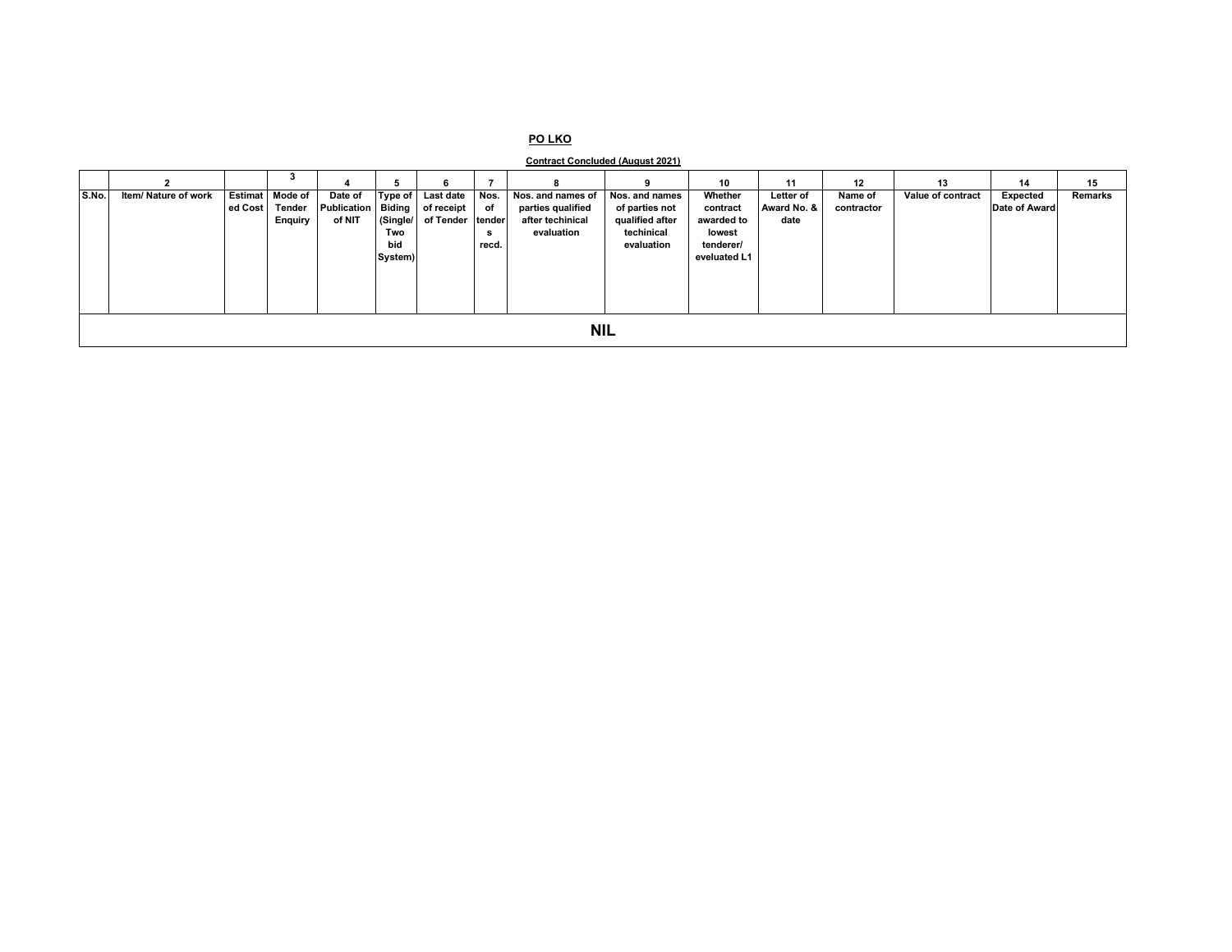## **PO LKO**

**Contract Concluded (August 2021)**

|       |                      |                        |                           |            | 6                |       |                   |                          | 10                  | 11          | 12         | 13                | 14            | 15      |
|-------|----------------------|------------------------|---------------------------|------------|------------------|-------|-------------------|--------------------------|---------------------|-------------|------------|-------------------|---------------|---------|
| S.No. | Item/ Nature of work | <b>Estimat</b> Mode of | Date of                   | Type of    | Last date        | Nos.  | Nos. and names of | Nos. and names           | Whether             | Letter of   | Name of    | Value of contract | Expected      | Remarks |
|       |                      | ed Cost Tender         | <b>Publication Biding</b> |            | of receipt       | of    | parties qualified | of parties not           | contract            | Award No. & | contractor |                   | Date of Award |         |
|       |                      | <b>Enquiry</b>         | of NIT                    | (Single/   | of Tender tender |       | after techinical  | qualified after          | awarded to          | date        |            |                   |               |         |
|       |                      |                        |                           | Two<br>bid |                  | s     | evaluation        | techinical<br>evaluation | lowest<br>tenderer/ |             |            |                   |               |         |
|       |                      |                        |                           | System)    |                  | recd. |                   |                          | eveluated L1        |             |            |                   |               |         |
|       |                      |                        |                           |            |                  |       |                   |                          |                     |             |            |                   |               |         |
|       |                      |                        |                           |            |                  |       |                   |                          |                     |             |            |                   |               |         |
|       |                      |                        |                           |            |                  |       |                   |                          |                     |             |            |                   |               |         |
|       |                      |                        |                           |            |                  |       |                   |                          |                     |             |            |                   |               |         |
|       |                      |                        |                           |            |                  |       |                   |                          |                     |             |            |                   |               |         |
|       |                      |                        |                           |            |                  |       |                   | <b>NIL</b>               |                     |             |            |                   |               |         |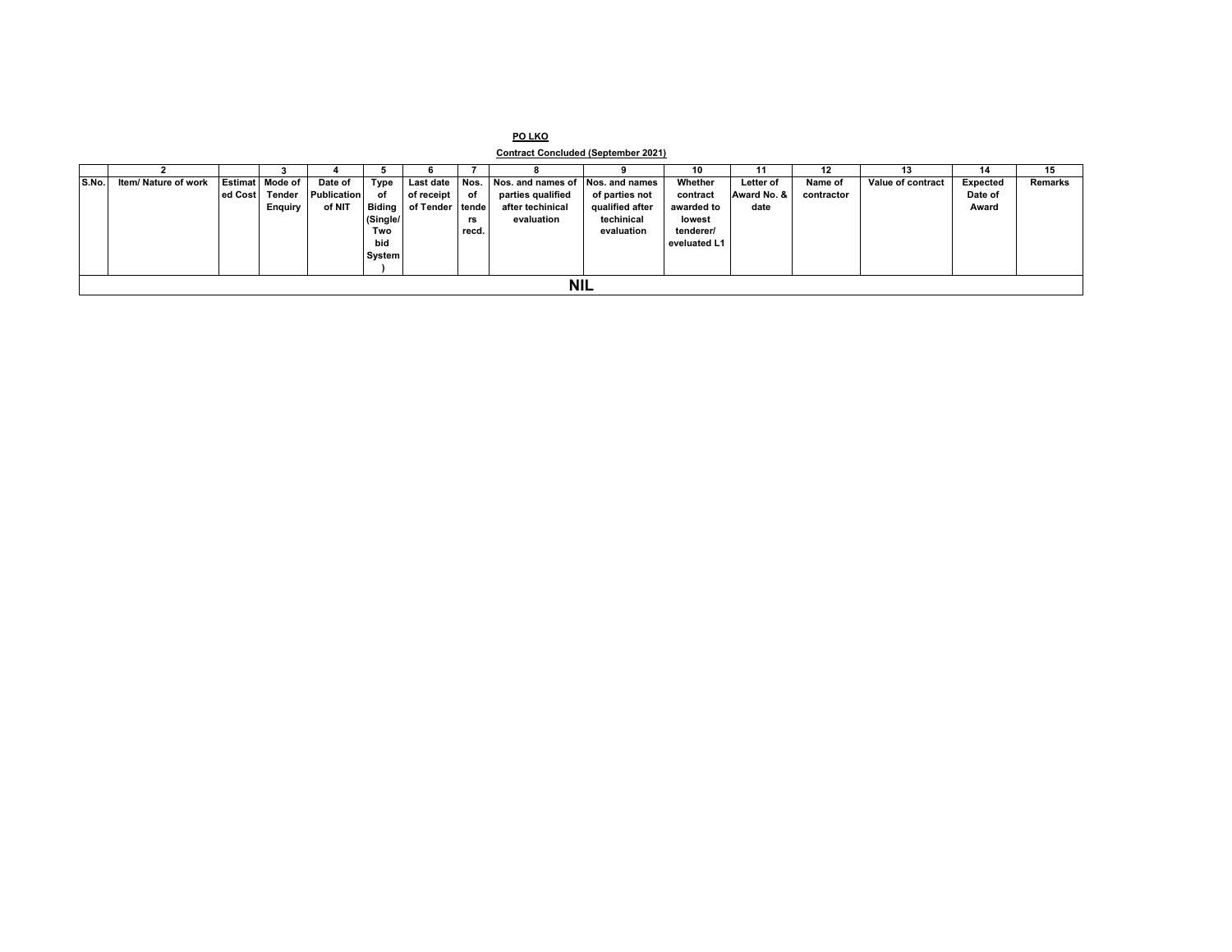| PO LKO |                                            |
|--------|--------------------------------------------|
|        | <b>Contract Concluded (September 2021)</b> |

|       |                      |         |                 |                    |               |                 |       |                                  |                 | 10           |             | 12         | 13                | 14       | 15             |
|-------|----------------------|---------|-----------------|--------------------|---------------|-----------------|-------|----------------------------------|-----------------|--------------|-------------|------------|-------------------|----------|----------------|
| S.No. | Item/ Nature of work |         | Estimat Mode of | Date of            | Type          | Last date Nos.  |       | Nos. and names of Nos. and names |                 | Whether      | Letter of   | Name of    | Value of contract | Expected | <b>Remarks</b> |
|       |                      | ed Cost | Tender          | <b>Publication</b> | of            | of receipt      | of    | parties qualified                | of parties not  | contract     | Award No. & | contractor |                   | Date of  |                |
|       |                      |         | <b>Enquiry</b>  | of NIT             | <b>Biding</b> | of Tender tende |       | after techinical                 | qualified after | awarded to   | date        |            |                   | Award    |                |
|       |                      |         |                 |                    | (Single/      |                 | rs    | evaluation                       | techinical      | lowest       |             |            |                   |          |                |
|       |                      |         |                 |                    | Two           |                 | recd. |                                  | evaluation      | tenderer/    |             |            |                   |          |                |
|       |                      |         |                 |                    | bid           |                 |       |                                  |                 | eveluated L1 |             |            |                   |          |                |
|       |                      |         |                 |                    | System        |                 |       |                                  |                 |              |             |            |                   |          |                |
|       |                      |         |                 |                    |               |                 |       |                                  |                 |              |             |            |                   |          |                |
|       | <b>NIL</b>           |         |                 |                    |               |                 |       |                                  |                 |              |             |            |                   |          |                |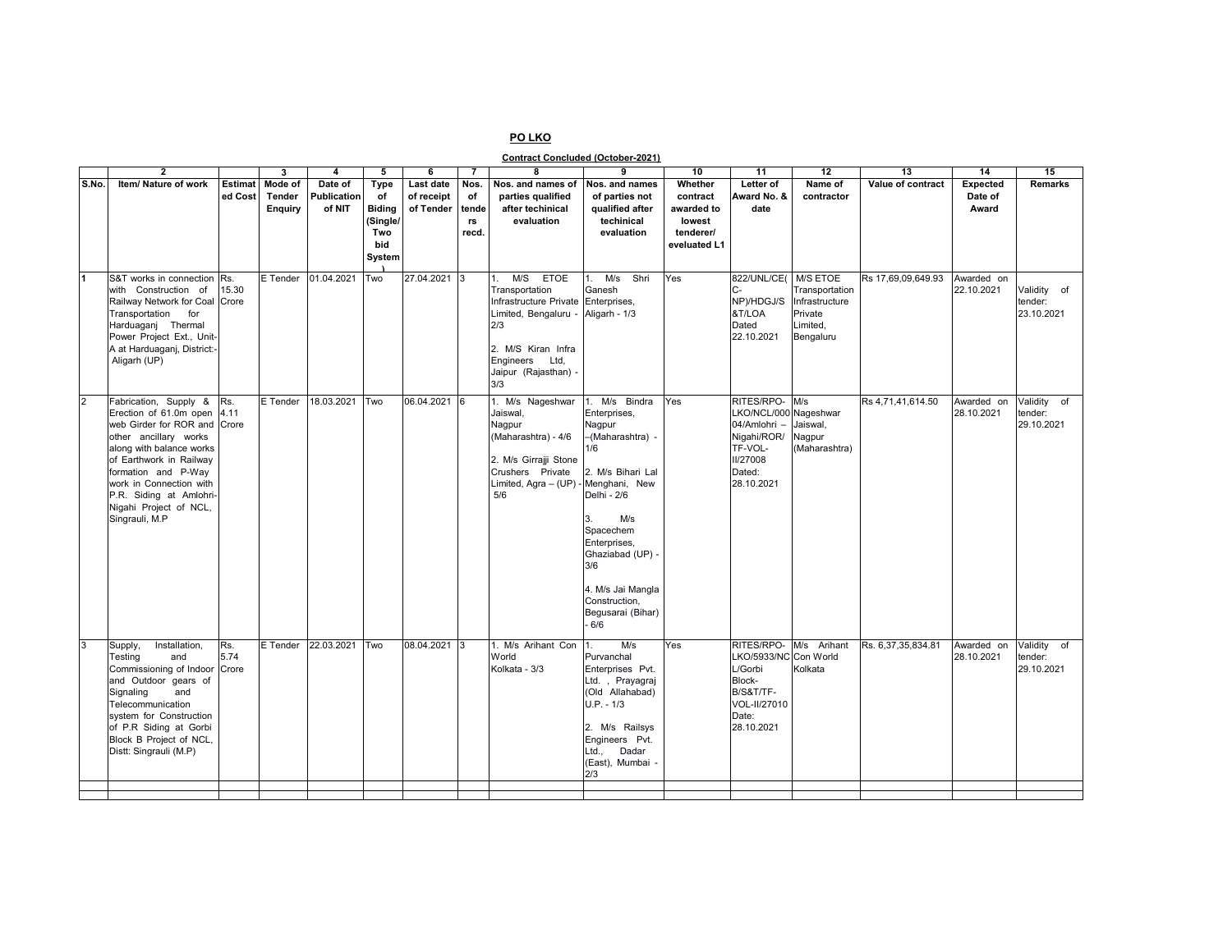## **PO LKO**

**Contract Concluded (October-2021)**

|                | $\overline{2}$                                  |                | 3        | $\overline{\mathbf{4}}$ | 5             | 6            | $\overline{7}$ | 8                      | 9                      | 10           | 11                          | $\overline{12}$       | 13                 | 14              | 15             |
|----------------|-------------------------------------------------|----------------|----------|-------------------------|---------------|--------------|----------------|------------------------|------------------------|--------------|-----------------------------|-----------------------|--------------------|-----------------|----------------|
| S.No.          | Item/ Nature of work                            | <b>Estimat</b> | Mode of  | Date of                 | Type          | Last date    | Nos.           | Nos. and names of      | Nos. and names         | Whether      | Letter of                   | Name of               | Value of contract  | <b>Expected</b> | Remarks        |
|                |                                                 | ed Cost        | Tender   | Publication             | of            | of receipt   | of             | parties qualified      | of parties not         | contract     | Award No. &                 | contractor            |                    | Date of         |                |
|                |                                                 |                | Enguiry  | of NIT                  | <b>Biding</b> | of Tender    | tende          | after techinical       | qualified after        | awarded to   | date                        |                       |                    | Award           |                |
|                |                                                 |                |          |                         | (Single/      |              | rs             | evaluation             | techinical             | lowest       |                             |                       |                    |                 |                |
|                |                                                 |                |          |                         | Two           |              | recd.          |                        | evaluation             | tenderer/    |                             |                       |                    |                 |                |
|                |                                                 |                |          |                         | bid           |              |                |                        |                        | eveluated L1 |                             |                       |                    |                 |                |
|                |                                                 |                |          |                         | System        |              |                |                        |                        |              |                             |                       |                    |                 |                |
|                |                                                 |                |          |                         |               |              |                |                        |                        |              |                             |                       |                    |                 |                |
| 11             | S&T works in connection                         | Rs.            | E Tender | 01.04.2021              | Two           | 27.04.2021   | 3              | M/S ETOE<br>1.         | $1.$ M/s<br>Shri       | Yes          | 822/UNL/CE(                 | <b>M/S ETOE</b>       | Rs 17,69,09,649.93 | Awarded on      |                |
|                | with Construction of                            | 15.30          |          |                         |               |              |                | Transportation         | Ganesh                 |              | $C -$                       | Transportation        |                    | 22.10.2021      | Validity of    |
|                | Railway Network for Coal Crore                  |                |          |                         |               |              |                | Infrastructure Private | Enterprises,           |              | NP)/HDGJ/S                  | Infrastructure        |                    |                 | tender:        |
|                | Transportation for                              |                |          |                         |               |              |                | Limited, Bengaluru -   | Aligarh - 1/3          |              | &T/LOA<br>Dated             | Private               |                    |                 | 23.10.2021     |
|                | Harduaganj Thermal<br>Power Project Ext., Unit- |                |          |                         |               |              |                | 2/3                    |                        |              | 22.10.2021                  | Limited,<br>Bengaluru |                    |                 |                |
|                | A at Harduaganj, District:-                     |                |          |                         |               |              |                | 2. M/S Kiran Infra     |                        |              |                             |                       |                    |                 |                |
|                | Aligarh (UP)                                    |                |          |                         |               |              |                | Engineers Ltd,         |                        |              |                             |                       |                    |                 |                |
|                |                                                 |                |          |                         |               |              |                | Jaipur (Rajasthan) -   |                        |              |                             |                       |                    |                 |                |
|                |                                                 |                |          |                         |               |              |                | 3/3                    |                        |              |                             |                       |                    |                 |                |
| $\overline{2}$ | Fabrication, Supply &                           |                | E Tender | 18.03.2021              | Two           | 06.04.2021 6 |                | 1. M/s Nageshwar       | 1. M/s Bindra          | Yes          | RITES/RPO- M/s              |                       |                    |                 | Validity<br>of |
|                | Erection of 61.0m open 4.11                     | Rs.            |          |                         |               |              |                |                        |                        |              |                             | Nageshwar             | Rs 4,71,41,614.50  | Awarded on      | tender:        |
|                | web Girder for ROR and Crore                    |                |          |                         |               |              |                | Jaiswal,<br>Nagpur     | Enterprises,<br>Nagpur |              | LKO/NCL/000<br>04/Amlohri - | Jaiswal,              |                    | 28.10.2021      | 29.10.2021     |
|                | other ancillary works                           |                |          |                         |               |              |                | (Maharashtra) - 4/6    | -(Maharashtra) -       |              | Nigahi/ROR/                 | Nagpur                |                    |                 |                |
|                | along with balance works                        |                |          |                         |               |              |                |                        | 1/6                    |              | TF-VOL-                     | (Maharashtra)         |                    |                 |                |
|                | of Earthwork in Railway                         |                |          |                         |               |              |                | 2. M/s Girrajji Stone  |                        |              | <b>II/27008</b>             |                       |                    |                 |                |
|                | formation and P-Way                             |                |          |                         |               |              |                | Crushers Private       | 2. M/s Bihari Lal      |              | Dated:                      |                       |                    |                 |                |
|                | work in Connection with                         |                |          |                         |               |              |                | Limited, Agra - (UP)   | Menghani, New          |              | 28.10.2021                  |                       |                    |                 |                |
|                | P.R. Siding at Amlohri-                         |                |          |                         |               |              |                | 5/6                    | Delhi - 2/6            |              |                             |                       |                    |                 |                |
|                | Nigahi Project of NCL,                          |                |          |                         |               |              |                |                        |                        |              |                             |                       |                    |                 |                |
|                | Singrauli, M.P                                  |                |          |                         |               |              |                |                        | M/s<br>3.              |              |                             |                       |                    |                 |                |
|                |                                                 |                |          |                         |               |              |                |                        | Spacechem              |              |                             |                       |                    |                 |                |
|                |                                                 |                |          |                         |               |              |                |                        | Enterprises,           |              |                             |                       |                    |                 |                |
|                |                                                 |                |          |                         |               |              |                |                        | Ghaziabad (UP) -       |              |                             |                       |                    |                 |                |
|                |                                                 |                |          |                         |               |              |                |                        | 3/6                    |              |                             |                       |                    |                 |                |
|                |                                                 |                |          |                         |               |              |                |                        | 4. M/s Jai Mangla      |              |                             |                       |                    |                 |                |
|                |                                                 |                |          |                         |               |              |                |                        | Construction.          |              |                             |                       |                    |                 |                |
|                |                                                 |                |          |                         |               |              |                |                        | Begusarai (Bihar)      |              |                             |                       |                    |                 |                |
|                |                                                 |                |          |                         |               |              |                |                        | 6/6                    |              |                             |                       |                    |                 |                |
|                |                                                 |                |          |                         |               |              |                |                        |                        |              |                             |                       |                    |                 |                |
| $\overline{3}$ | Installation,<br>Supply,                        | Rs.            | E Tender | 22.03.2021              | Two           | 08.04.2021   |                | 1. M/s Arihant Con     | M/s<br>1.              | Yes          | RITES/RPO-                  | M/s Arihant           | Rs. 6,37,35,834.81 | Awarded on      | Validity<br>of |
|                | Testing<br>and                                  | 5.74           |          |                         |               |              |                | World                  | Purvanchal             |              | LKO/5933/NC Con World       |                       |                    | 28.10.2021      | tender:        |
|                | Commissioning of Indoor Crore                   |                |          |                         |               |              |                | Kolkata - 3/3          | Enterprises Pvt.       |              | L/Gorbi                     | Kolkata               |                    |                 | 29.10.2021     |
|                | and Outdoor gears of                            |                |          |                         |               |              |                |                        | Ltd., Prayagraj        |              | Block-                      |                       |                    |                 |                |
|                | and<br>Signaling                                |                |          |                         |               |              |                |                        | (Old Allahabad)        |              | B/S&T/TF-                   |                       |                    |                 |                |
|                | Telecommunication<br>system for Construction    |                |          |                         |               |              |                |                        | $U.P. - 1/3$           |              | VOL-II/27010<br>Date:       |                       |                    |                 |                |
|                | of P.R Siding at Gorbi                          |                |          |                         |               |              |                |                        | 2. M/s Railsys         |              | 28.10.2021                  |                       |                    |                 |                |
|                | Block B Project of NCL,                         |                |          |                         |               |              |                |                        | Engineers Pvt.         |              |                             |                       |                    |                 |                |
|                | Distt: Singrauli (M.P)                          |                |          |                         |               |              |                |                        | Dadar<br>∟td.,         |              |                             |                       |                    |                 |                |
|                |                                                 |                |          |                         |               |              |                |                        | (East), Mumbai -       |              |                             |                       |                    |                 |                |
|                |                                                 |                |          |                         |               |              |                |                        | 2/3                    |              |                             |                       |                    |                 |                |
|                |                                                 |                |          |                         |               |              |                |                        |                        |              |                             |                       |                    |                 |                |
|                |                                                 |                |          |                         |               |              |                |                        |                        |              |                             |                       |                    |                 |                |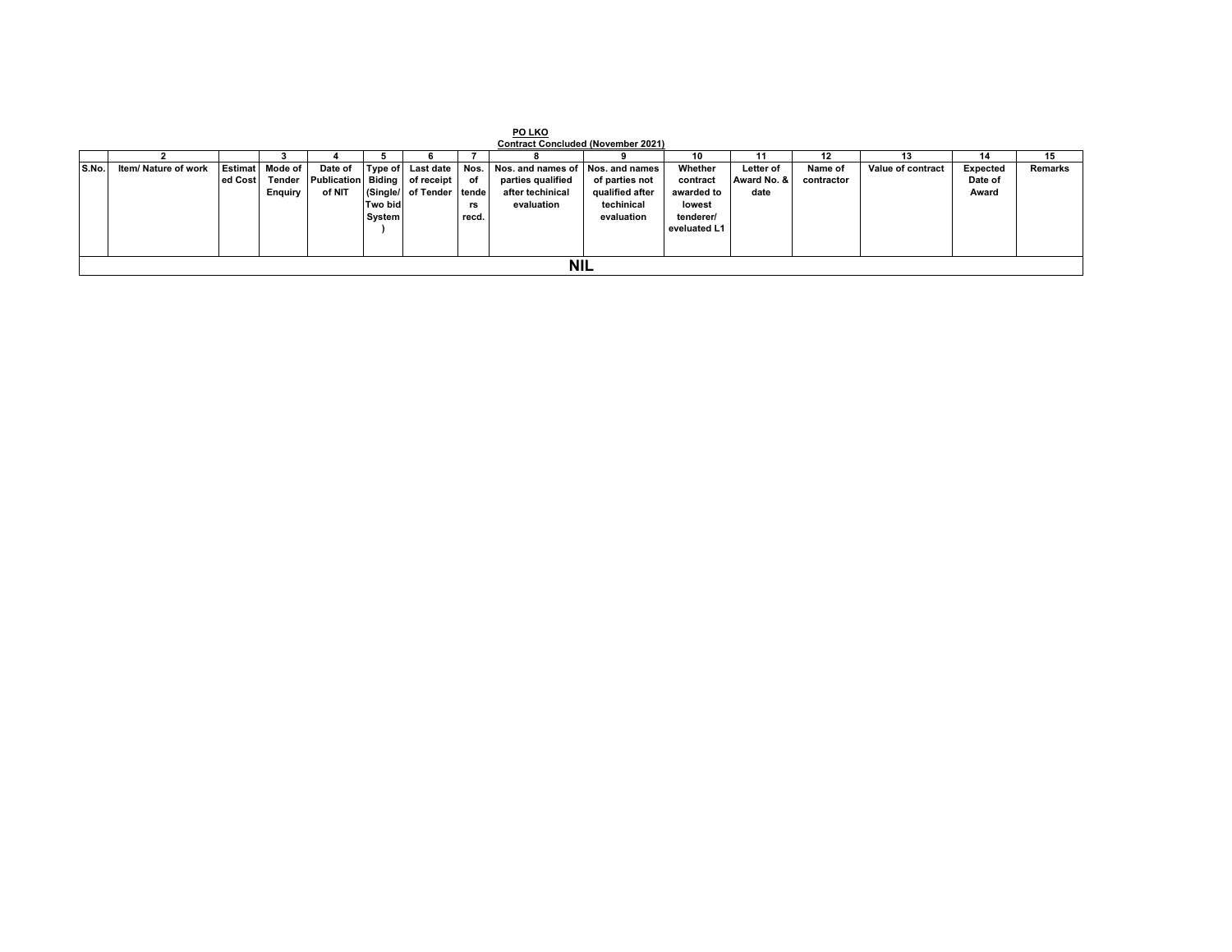|       | PO LKO                                                                  |         |                 |                    |         |                          |       |                                  |                 |              |                  |            |                   |          |         |
|-------|-------------------------------------------------------------------------|---------|-----------------|--------------------|---------|--------------------------|-------|----------------------------------|-----------------|--------------|------------------|------------|-------------------|----------|---------|
|       | <b>Contract Concluded (November 2021)</b><br>10<br>15<br>13<br>12<br>14 |         |                 |                    |         |                          |       |                                  |                 |              |                  |            |                   |          |         |
| S.No. | Item/ Nature of work                                                    |         | Estimat Mode of | Date of            | Type of | Last date                | Nos.  | Nos. and names of Nos. and names |                 | Whether      | <b>Letter of</b> | Name of    | Value of contract | Expected | Remarks |
|       |                                                                         | ed Cost | Tender          | Publication Biding |         | of receipt               | of    | parties qualified                | of parties not  | contract     | Award No. &      | contractor |                   | Date of  |         |
|       |                                                                         |         | <b>Enquiry</b>  | of NIT             |         | (Single/ of Tender tende |       | after techinical                 | qualified after | awarded to   | date             |            |                   | Award    |         |
|       |                                                                         |         |                 |                    | Two bid |                          | rs    | evaluation                       | techinical      | lowest       |                  |            |                   |          |         |
|       |                                                                         |         |                 |                    | System  |                          | recd. |                                  | evaluation      | tenderer/    |                  |            |                   |          |         |
|       |                                                                         |         |                 |                    |         |                          |       |                                  |                 | eveluated L1 |                  |            |                   |          |         |
|       |                                                                         |         |                 |                    |         |                          |       |                                  |                 |              |                  |            |                   |          |         |
|       | <b>NIL</b>                                                              |         |                 |                    |         |                          |       |                                  |                 |              |                  |            |                   |          |         |
|       |                                                                         |         |                 |                    |         |                          |       |                                  |                 |              |                  |            |                   |          |         |